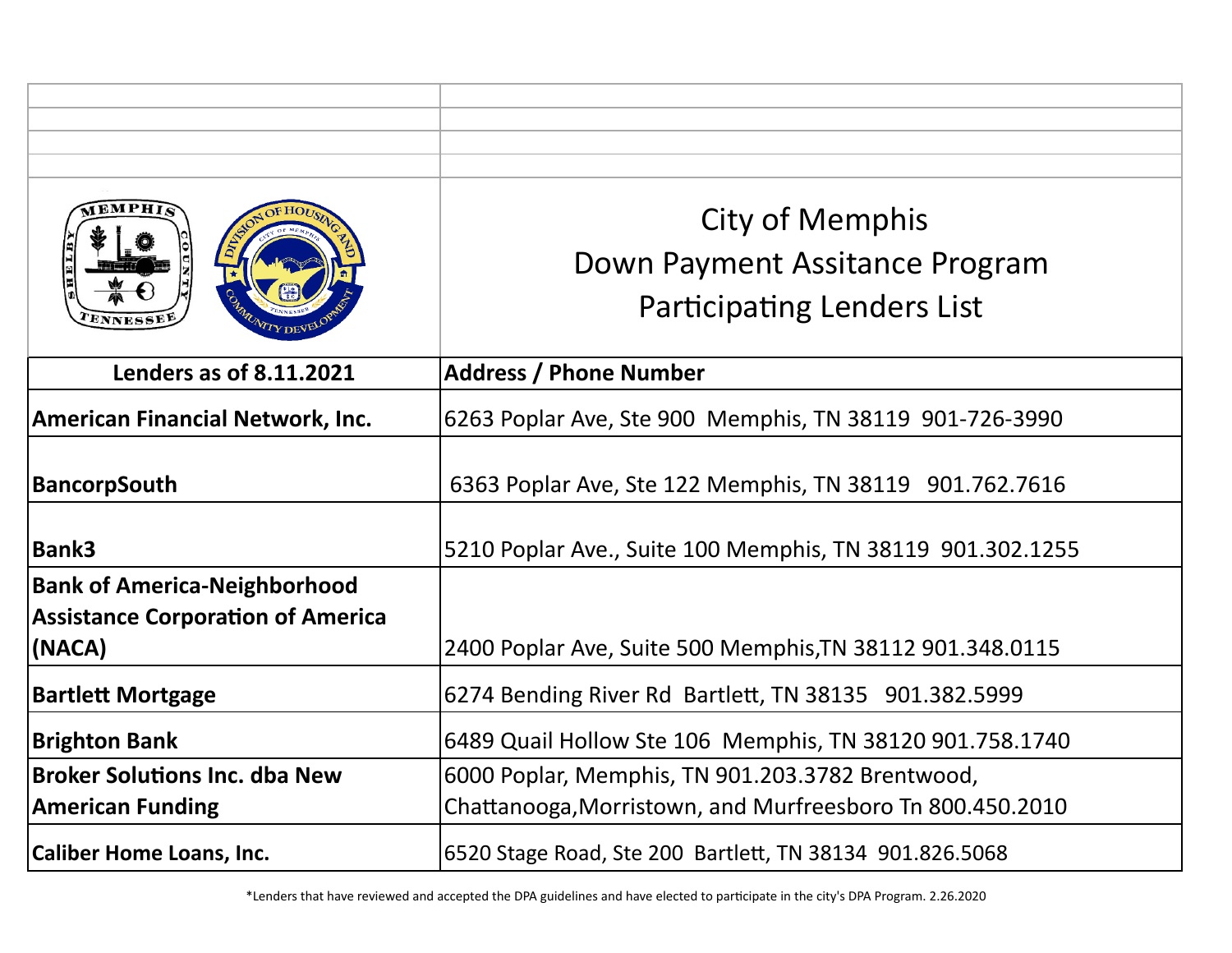| EMPH1                                    | <b>City of Memphis</b>                                     |
|------------------------------------------|------------------------------------------------------------|
|                                          | Down Payment Assitance Program                             |
|                                          | <b>Participating Lenders List</b>                          |
| Lenders as of 8.11.2021                  | <b>Address / Phone Number</b>                              |
| <b>American Financial Network, Inc.</b>  | 6263 Poplar Ave, Ste 900 Memphis, TN 38119 901-726-3990    |
| BancorpSouth                             | 6363 Poplar Ave, Ste 122 Memphis, TN 38119 901.762.7616    |
| <b>Bank3</b>                             | 5210 Poplar Ave., Suite 100 Memphis, TN 38119 901.302.1255 |
| <b>Bank of America-Neighborhood</b>      |                                                            |
| <b>Assistance Corporation of America</b> |                                                            |
| (NACA)                                   | 2400 Poplar Ave, Suite 500 Memphis, TN 38112 901.348.0115  |
| <b>Bartlett Mortgage</b>                 | 6274 Bending River Rd Bartlett, TN 38135 901.382.5999      |
| <b>Brighton Bank</b>                     | 6489 Quail Hollow Ste 106 Memphis, TN 38120 901.758.1740   |
| <b>Broker Solutions Inc. dba New</b>     | 6000 Poplar, Memphis, TN 901.203.3782 Brentwood,           |
| <b>American Funding</b>                  | Chattanooga, Morristown, and Murfreesboro Tn 800.450.2010  |
| <b>Caliber Home Loans, Inc.</b>          | 6520 Stage Road, Ste 200 Bartlett, TN 38134 901.826.5068   |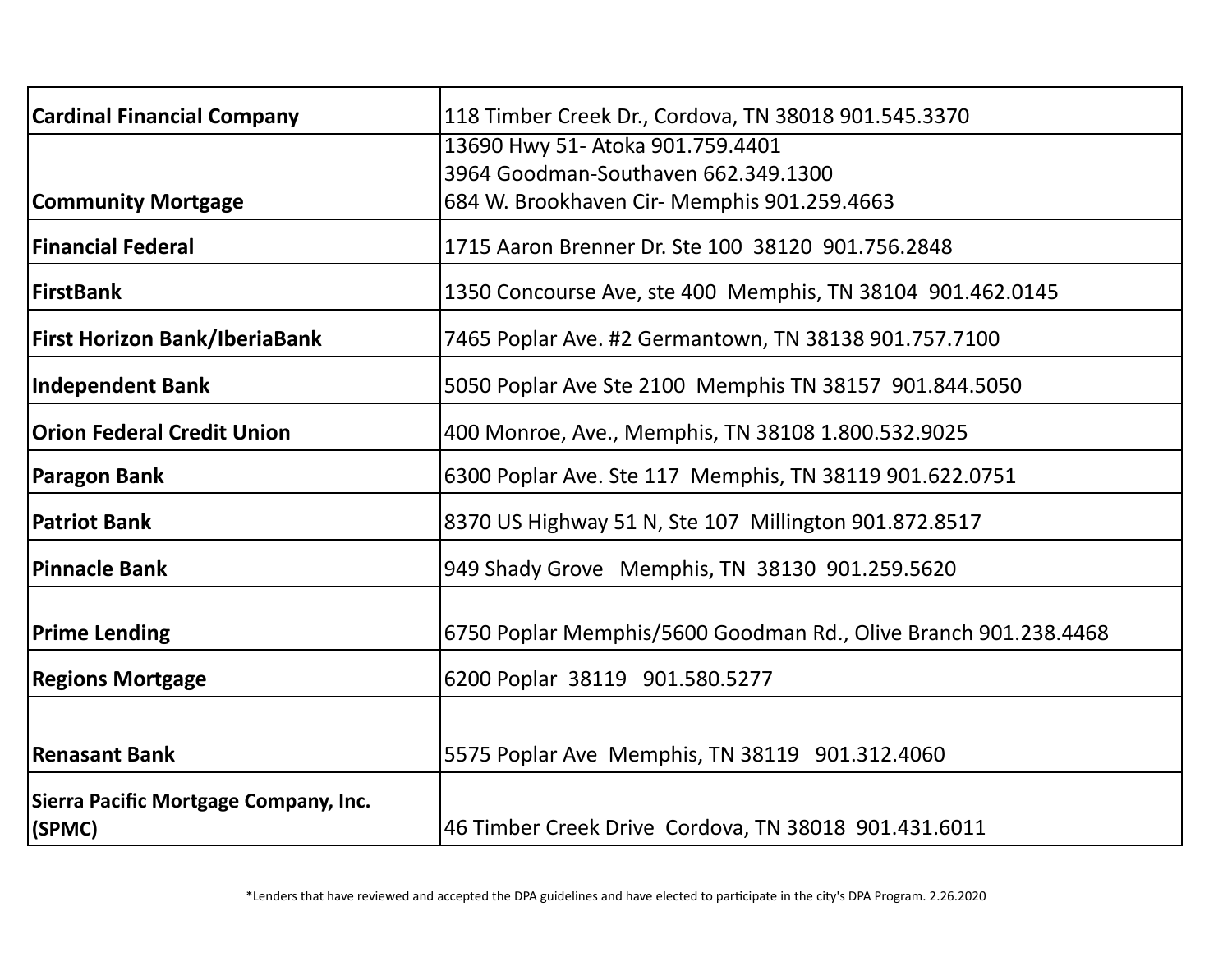| <b>Cardinal Financial Company</b>               | 118 Timber Creek Dr., Cordova, TN 38018 901.545.3370            |
|-------------------------------------------------|-----------------------------------------------------------------|
|                                                 | 13690 Hwy 51- Atoka 901.759.4401                                |
|                                                 | 3964 Goodman-Southaven 662.349.1300                             |
| <b>Community Mortgage</b>                       | 684 W. Brookhaven Cir- Memphis 901.259.4663                     |
| <b>Financial Federal</b>                        | 1715 Aaron Brenner Dr. Ste 100 38120 901.756.2848               |
| <b>FirstBank</b>                                | 1350 Concourse Ave, ste 400 Memphis, TN 38104 901.462.0145      |
| <b>First Horizon Bank/IberiaBank</b>            | 7465 Poplar Ave. #2 Germantown, TN 38138 901.757.7100           |
| Independent Bank                                | 5050 Poplar Ave Ste 2100 Memphis TN 38157 901.844.5050          |
| <b>Orion Federal Credit Union</b>               | 400 Monroe, Ave., Memphis, TN 38108 1.800.532.9025              |
| Paragon Bank                                    | 6300 Poplar Ave. Ste 117 Memphis, TN 38119 901.622.0751         |
| <b>Patriot Bank</b>                             | 8370 US Highway 51 N, Ste 107 Millington 901.872.8517           |
| Pinnacle Bank                                   | 949 Shady Grove Memphis, TN 38130 901.259.5620                  |
| <b>Prime Lending</b>                            | 6750 Poplar Memphis/5600 Goodman Rd., Olive Branch 901.238.4468 |
| <b>Regions Mortgage</b>                         | 6200 Poplar 38119 901.580.5277                                  |
|                                                 |                                                                 |
| Renasant Bank                                   | 5575 Poplar Ave Memphis, TN 38119 901.312.4060                  |
| Sierra Pacific Mortgage Company, Inc.<br>(SPMC) | 46 Timber Creek Drive Cordova, TN 38018 901.431.6011            |